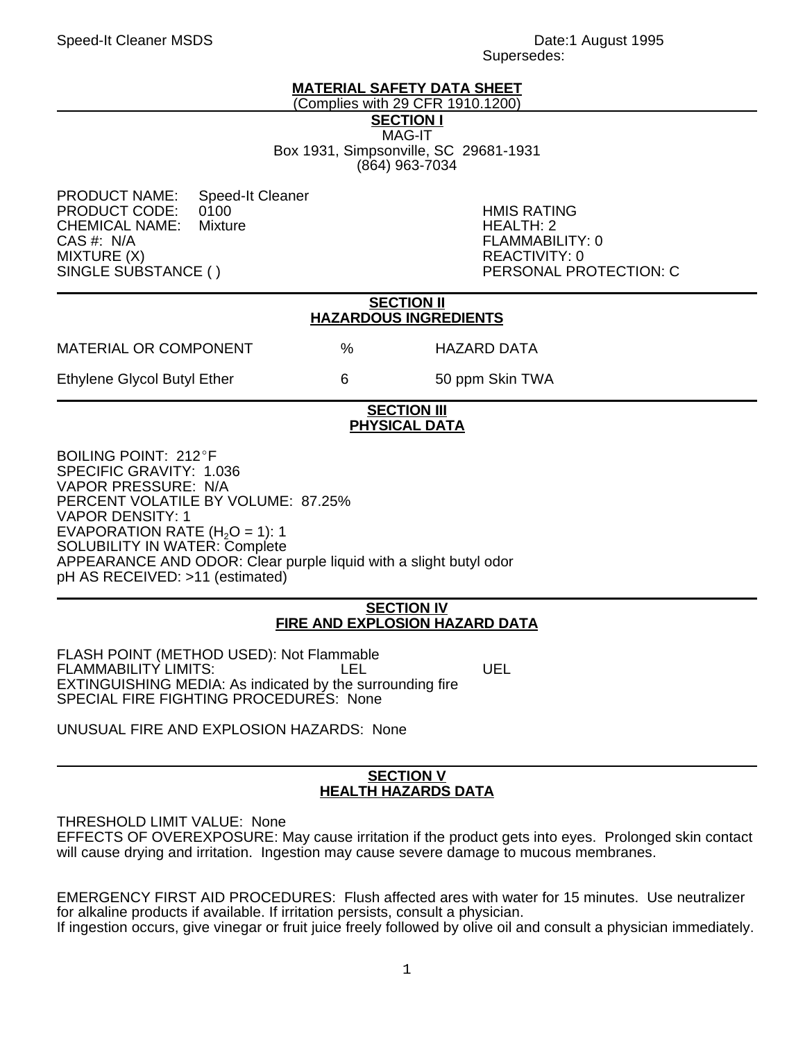#### Speed-It Cleaner MSDS **Date:** 1 August 1995 Supersedes:

# **MATERIAL SAFETY DATA SHEET**

(Complies with 29 CFR 1910.1200) **SECTION I** MAG-IT Box 1931, Simpsonville, SC 29681-1931

(864) 963-7034

PRODUCT NAME: Speed-It Cleaner PRODUCT CODE: 0100 HMIS RATING CHEMICAL NAME:<br>CAS #: N/A CAS #: N/A FLAMMABILITY: 0 MIXTURE (X)<br>SINGLE SUBSTANCE ( ) REACTIVITY: 0

PERSONAL PROTECTION: C

#### **SECTION II HAZARDOUS INGREDIENTS**

MATERIAL OR COMPONENT % HAZARD DATA

Ethylene Glycol Butyl Ether 6 6 50 ppm Skin TWA

#### **SECTION III PHYSICAL DATA**

BOILING POINT: 212°F SPECIFIC GRAVITY: 1.036 VAPOR PRESSURE: N/A PERCENT VOLATILE BY VOLUME: 87.25% VAPOR DENSITY: 1 EVAPORATION RATE  $(H<sub>2</sub>O = 1)$ : 1 SOLUBILITY IN WATER: Complete APPEARANCE AND ODOR: Clear purple liquid with a slight butyl odor pH AS RECEIVED: >11 (estimated)

#### **SECTION IV FIRE AND EXPLOSION HAZARD DATA**

FLASH POINT (METHOD USED): Not Flammable FLAMMABILITY LIMITS: LEL LEL UEL EXTINGUISHING MEDIA: As indicated by the surrounding fire SPECIAL FIRE FIGHTING PROCEDURES: None

UNUSUAL FIRE AND EXPLOSION HAZARDS: None

# **SECTION V HEALTH HAZARDS DATA**

THRESHOLD LIMIT VALUE: None EFFECTS OF OVEREXPOSURE: May cause irritation if the product gets into eyes. Prolonged skin contact will cause drying and irritation. Ingestion may cause severe damage to mucous membranes.

EMERGENCY FIRST AID PROCEDURES: Flush affected ares with water for 15 minutes. Use neutralizer for alkaline products if available. If irritation persists, consult a physician. If ingestion occurs, give vinegar or fruit juice freely followed by olive oil and consult a physician immediately.